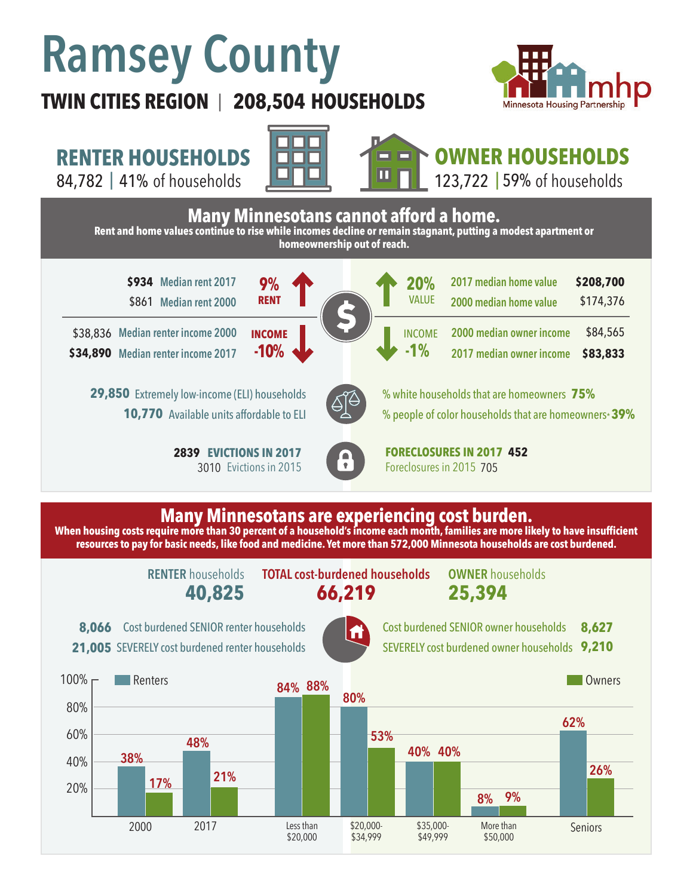# **Ramsey County**

### **TWIN CITIES REGION 208,504 HOUSEHOLDS**  |



**RENTER HOUSEHOLDS**

84,782 | of households 41% 59%





## **OWNER HOUSEHOLDS**

123,722 | 59% of households







SEVERELY cost burdened owner households **9,210 8,627**